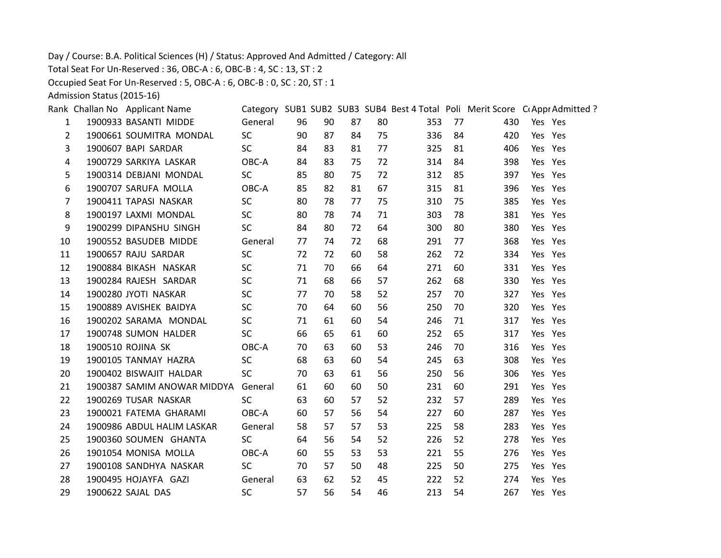Day / Course: B.A. Political Sciences (H) / Status: Approved And Admitted / Category: All

Total Seat For Un-Reserved : 36, OBC-A : 6, OBC-B : 4, SC : 13, ST : 2

Occupied Seat For Un-Reserved : 5, OBC-A : 6, OBC-B : 0, SC : 20, ST : 1

Admission Status (2015-16)

|              | Rank Challan No Applicant Name      |           |    |    |    |    |     |    | Category SUB1 SUB2 SUB3 SUB4 Best 4 Total Poli Merit Score C(Appr Admitted ? |         |         |
|--------------|-------------------------------------|-----------|----|----|----|----|-----|----|------------------------------------------------------------------------------|---------|---------|
| $\mathbf{1}$ | 1900933 BASANTI MIDDE               | General   | 96 | 90 | 87 | 80 | 353 | 77 | 430                                                                          | Yes Yes |         |
| 2            | 1900661 SOUMITRA MONDAL             | <b>SC</b> | 90 | 87 | 84 | 75 | 336 | 84 | 420                                                                          | Yes Yes |         |
| 3            | 1900607 BAPI SARDAR                 | SC.       | 84 | 83 | 81 | 77 | 325 | 81 | 406                                                                          | Yes Yes |         |
| 4            | 1900729 SARKIYA LASKAR              | OBC-A     | 84 | 83 | 75 | 72 | 314 | 84 | 398                                                                          | Yes Yes |         |
| 5            | 1900314 DEBJANI MONDAL              | <b>SC</b> | 85 | 80 | 75 | 72 | 312 | 85 | 397                                                                          | Yes Yes |         |
| 6            | 1900707 SARUFA MOLLA                | OBC-A     | 85 | 82 | 81 | 67 | 315 | 81 | 396                                                                          | Yes Yes |         |
| 7            | 1900411 TAPASI NASKAR               | <b>SC</b> | 80 | 78 | 77 | 75 | 310 | 75 | 385                                                                          |         | Yes Yes |
| 8            | 1900197 LAXMI MONDAL                | <b>SC</b> | 80 | 78 | 74 | 71 | 303 | 78 | 381                                                                          | Yes Yes |         |
| 9            | 1900299 DIPANSHU SINGH              | <b>SC</b> | 84 | 80 | 72 | 64 | 300 | 80 | 380                                                                          | Yes Yes |         |
| 10           | 1900552 BASUDEB MIDDE               | General   | 77 | 74 | 72 | 68 | 291 | 77 | 368                                                                          | Yes Yes |         |
| 11           | 1900657 RAJU SARDAR                 | <b>SC</b> | 72 | 72 | 60 | 58 | 262 | 72 | 334                                                                          | Yes Yes |         |
| 12           | 1900884 BIKASH NASKAR               | <b>SC</b> | 71 | 70 | 66 | 64 | 271 | 60 | 331                                                                          | Yes Yes |         |
| 13           | 1900284 RAJESH SARDAR               | <b>SC</b> | 71 | 68 | 66 | 57 | 262 | 68 | 330                                                                          | Yes Yes |         |
| 14           | 1900280 JYOTI NASKAR                | <b>SC</b> | 77 | 70 | 58 | 52 | 257 | 70 | 327                                                                          | Yes Yes |         |
| 15           | 1900889 AVISHEK BAIDYA              | <b>SC</b> | 70 | 64 | 60 | 56 | 250 | 70 | 320                                                                          | Yes Yes |         |
| 16           | 1900202 SARAMA MONDAL               | <b>SC</b> | 71 | 61 | 60 | 54 | 246 | 71 | 317                                                                          | Yes Yes |         |
| 17           | 1900748 SUMON HALDER                | <b>SC</b> | 66 | 65 | 61 | 60 | 252 | 65 | 317                                                                          | Yes Yes |         |
| 18           | 1900510 ROJINA SK                   | OBC-A     | 70 | 63 | 60 | 53 | 246 | 70 | 316                                                                          | Yes Yes |         |
| 19           | 1900105 TANMAY HAZRA                | <b>SC</b> | 68 | 63 | 60 | 54 | 245 | 63 | 308                                                                          | Yes Yes |         |
| 20           | 1900402 BISWAJIT HALDAR             | <b>SC</b> | 70 | 63 | 61 | 56 | 250 | 56 | 306                                                                          | Yes Yes |         |
| 21           | 1900387 SAMIM ANOWAR MIDDYA General |           | 61 | 60 | 60 | 50 | 231 | 60 | 291                                                                          | Yes Yes |         |
| 22           | 1900269 TUSAR NASKAR                | <b>SC</b> | 63 | 60 | 57 | 52 | 232 | 57 | 289                                                                          |         | Yes Yes |
| 23           | 1900021 FATEMA GHARAMI              | OBC-A     | 60 | 57 | 56 | 54 | 227 | 60 | 287                                                                          | Yes Yes |         |
| 24           | 1900986 ABDUL HALIM LASKAR          | General   | 58 | 57 | 57 | 53 | 225 | 58 | 283                                                                          | Yes Yes |         |
| 25           | 1900360 SOUMEN GHANTA               | SC.       | 64 | 56 | 54 | 52 | 226 | 52 | 278                                                                          | Yes Yes |         |
| 26           | 1901054 MONISA MOLLA                | OBC-A     | 60 | 55 | 53 | 53 | 221 | 55 | 276                                                                          |         | Yes Yes |
| 27           | 1900108 SANDHYA NASKAR              | <b>SC</b> | 70 | 57 | 50 | 48 | 225 | 50 | 275                                                                          | Yes Yes |         |
| 28           | 1900495 HOJAYFA GAZI                | General   | 63 | 62 | 52 | 45 | 222 | 52 | 274                                                                          | Yes Yes |         |
| 29           | 1900622 SAJAL DAS                   | <b>SC</b> | 57 | 56 | 54 | 46 | 213 | 54 | 267                                                                          | Yes Yes |         |